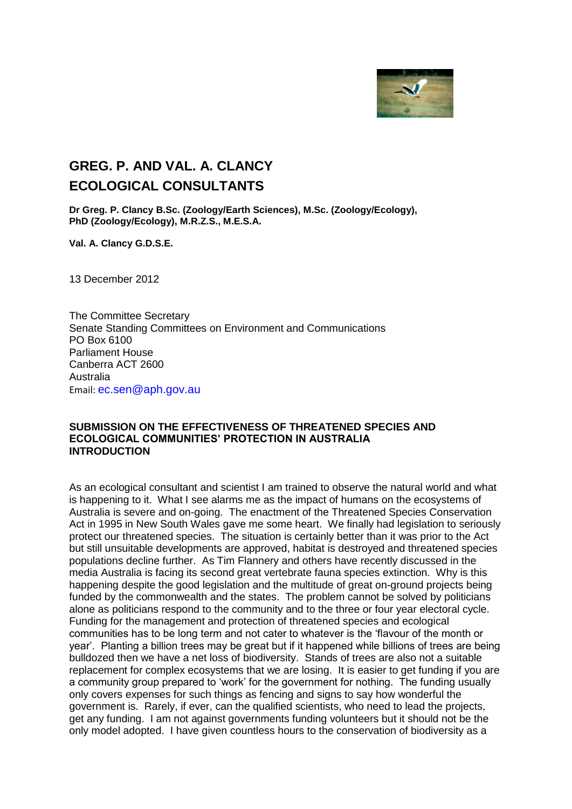

## **GREG. P. AND VAL. A. CLANCY ECOLOGICAL CONSULTANTS**

**Dr Greg. P. Clancy B.Sc. (Zoology/Earth Sciences), M.Sc. (Zoology/Ecology), PhD (Zoology/Ecology), M.R.Z.S., M.E.S.A.** 

**Val. A. Clancy G.D.S.E.**

13 December 2012

The Committee Secretary Senate Standing Committees on Environment and Communications PO Box 6100 Parliament House Canberra ACT 2600 Australia Email: ec.sen@aph.gov.au

## **SUBMISSION ON THE EFFECTIVENESS OF THREATENED SPECIES AND ECOLOGICAL COMMUNITIES' PROTECTION IN AUSTRALIA INTRODUCTION**

As an ecological consultant and scientist I am trained to observe the natural world and what is happening to it. What I see alarms me as the impact of humans on the ecosystems of Australia is severe and on-going. The enactment of the Threatened Species Conservation Act in 1995 in New South Wales gave me some heart. We finally had legislation to seriously protect our threatened species. The situation is certainly better than it was prior to the Act but still unsuitable developments are approved, habitat is destroyed and threatened species populations decline further. As Tim Flannery and others have recently discussed in the media Australia is facing its second great vertebrate fauna species extinction. Why is this happening despite the good legislation and the multitude of great on-ground projects being funded by the commonwealth and the states. The problem cannot be solved by politicians alone as politicians respond to the community and to the three or four year electoral cycle. Funding for the management and protection of threatened species and ecological communities has to be long term and not cater to whatever is the 'flavour of the month or year'. Planting a billion trees may be great but if it happened while billions of trees are being bulldozed then we have a net loss of biodiversity. Stands of trees are also not a suitable replacement for complex ecosystems that we are losing. It is easier to get funding if you are a community group prepared to 'work' for the government for nothing. The funding usually only covers expenses for such things as fencing and signs to say how wonderful the government is. Rarely, if ever, can the qualified scientists, who need to lead the projects, get any funding. I am not against governments funding volunteers but it should not be the only model adopted. I have given countless hours to the conservation of biodiversity as a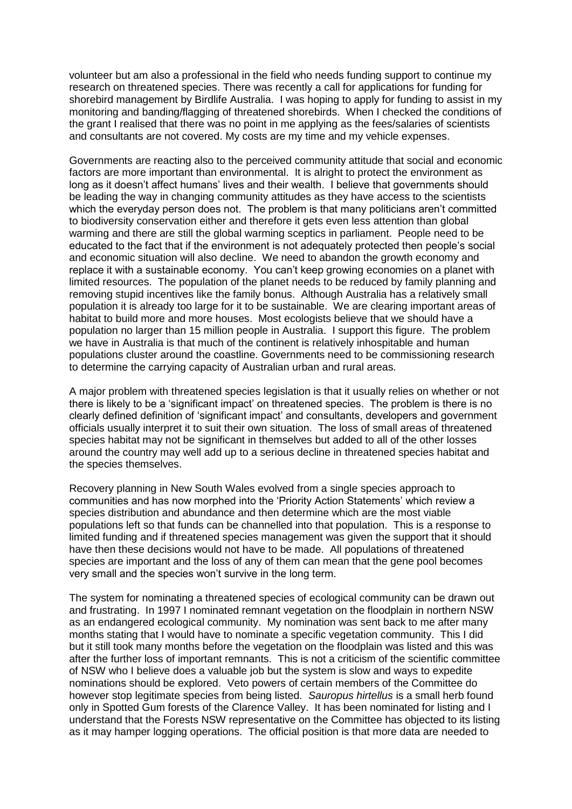volunteer but am also a professional in the field who needs funding support to continue my research on threatened species. There was recently a call for applications for funding for shorebird management by Birdlife Australia. I was hoping to apply for funding to assist in my monitoring and banding/flagging of threatened shorebirds. When I checked the conditions of the grant I realised that there was no point in me applying as the fees/salaries of scientists and consultants are not covered. My costs are my time and my vehicle expenses.

Governments are reacting also to the perceived community attitude that social and economic factors are more important than environmental. It is alright to protect the environment as long as it doesn't affect humans' lives and their wealth. I believe that governments should be leading the way in changing community attitudes as they have access to the scientists which the everyday person does not. The problem is that many politicians aren't committed to biodiversity conservation either and therefore it gets even less attention than global warming and there are still the global warming sceptics in parliament. People need to be educated to the fact that if the environment is not adequately protected then people's social and economic situation will also decline. We need to abandon the growth economy and replace it with a sustainable economy. You can't keep growing economies on a planet with limited resources. The population of the planet needs to be reduced by family planning and removing stupid incentives like the family bonus. Although Australia has a relatively small population it is already too large for it to be sustainable. We are clearing important areas of habitat to build more and more houses. Most ecologists believe that we should have a population no larger than 15 million people in Australia. I support this figure. The problem we have in Australia is that much of the continent is relatively inhospitable and human populations cluster around the coastline. Governments need to be commissioning research to determine the carrying capacity of Australian urban and rural areas.

A major problem with threatened species legislation is that it usually relies on whether or not there is likely to be a 'significant impact' on threatened species. The problem is there is no clearly defined definition of 'significant impact' and consultants, developers and government officials usually interpret it to suit their own situation. The loss of small areas of threatened species habitat may not be significant in themselves but added to all of the other losses around the country may well add up to a serious decline in threatened species habitat and the species themselves.

Recovery planning in New South Wales evolved from a single species approach to communities and has now morphed into the 'Priority Action Statements' which review a species distribution and abundance and then determine which are the most viable populations left so that funds can be channelled into that population. This is a response to limited funding and if threatened species management was given the support that it should have then these decisions would not have to be made. All populations of threatened species are important and the loss of any of them can mean that the gene pool becomes very small and the species won't survive in the long term.

The system for nominating a threatened species of ecological community can be drawn out and frustrating. In 1997 I nominated remnant vegetation on the floodplain in northern NSW as an endangered ecological community. My nomination was sent back to me after many months stating that I would have to nominate a specific vegetation community. This I did but it still took many months before the vegetation on the floodplain was listed and this was after the further loss of important remnants. This is not a criticism of the scientific committee of NSW who I believe does a valuable job but the system is slow and ways to expedite nominations should be explored. Veto powers of certain members of the Committee do however stop legitimate species from being listed. *Sauropus hirtellus* is a small herb found only in Spotted Gum forests of the Clarence Valley. It has been nominated for listing and I understand that the Forests NSW representative on the Committee has objected to its listing as it may hamper logging operations. The official position is that more data are needed to